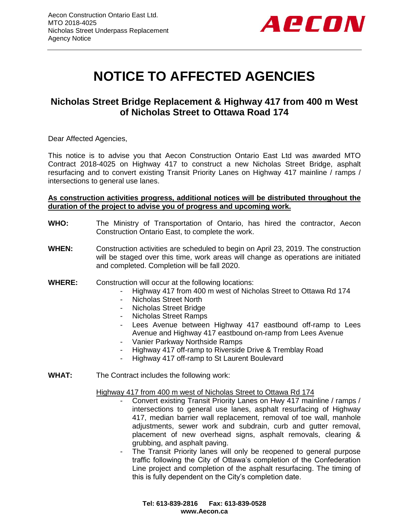

# **NOTICE TO AFFECTED AGENCIES**

# **Nicholas Street Bridge Replacement & Highway 417 from 400 m West of Nicholas Street to Ottawa Road 174**

Dear Affected Agencies,

This notice is to advise you that Aecon Construction Ontario East Ltd was awarded MTO Contract 2018-4025 on Highway 417 to construct a new Nicholas Street Bridge, asphalt resurfacing and to convert existing Transit Priority Lanes on Highway 417 mainline / ramps / intersections to general use lanes.

#### **As construction activities progress, additional notices will be distributed throughout the duration of the project to advise you of progress and upcoming work.**

- **WHO:** The Ministry of Transportation of Ontario, has hired the contractor, Aecon Construction Ontario East, to complete the work.
- **WHEN:** Construction activities are scheduled to begin on April 23, 2019. The construction will be staged over this time, work areas will change as operations are initiated and completed. Completion will be fall 2020.
- **WHERE:** Construction will occur at the following locations:
	- Highway 417 from 400 m west of Nicholas Street to Ottawa Rd 174
	- Nicholas Street North
	- Nicholas Street Bridge
	- Nicholas Street Ramps
	- Lees Avenue between Highway 417 eastbound off-ramp to Lees Avenue and Highway 417 eastbound on-ramp from Lees Avenue
	- Vanier Parkway Northside Ramps
	- Highway 417 off-ramp to Riverside Drive & Tremblay Road
	- Highway 417 off-ramp to St Laurent Boulevard
- **WHAT:** The Contract includes the following work:

#### Highway 417 from 400 m west of Nicholas Street to Ottawa Rd 174

- Convert existing Transit Priority Lanes on Hwy 417 mainline / ramps / intersections to general use lanes, asphalt resurfacing of Highway 417, median barrier wall replacement, removal of toe wall, manhole adjustments, sewer work and subdrain, curb and gutter removal, placement of new overhead signs, asphalt removals, clearing & grubbing, and asphalt paving.
- The Transit Priority lanes will only be reopened to general purpose traffic following the City of Ottawa's completion of the Confederation Line project and completion of the asphalt resurfacing. The timing of this is fully dependent on the City's completion date.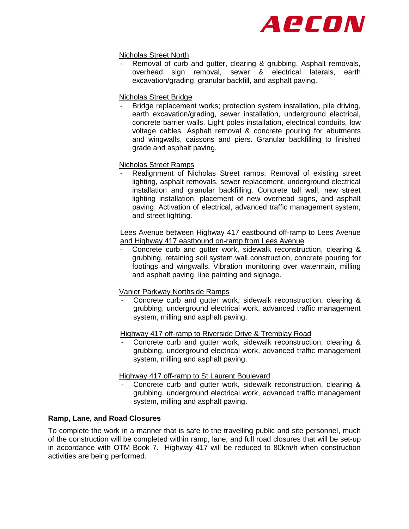

Nicholas Street North

Removal of curb and gutter, clearing & grubbing. Asphalt removals, overhead sign removal, sewer & electrical laterals, earth excavation/grading, granular backfill, and asphalt paving.

### Nicholas Street Bridge

Bridge replacement works; protection system installation, pile driving, earth excavation/grading, sewer installation, underground electrical, concrete barrier walls. Light poles installation, electrical conduits, low voltage cables. Asphalt removal & concrete pouring for abutments and wingwalls, caissons and piers. Granular backfilling to finished grade and asphalt paving.

# Nicholas Street Ramps

Realignment of Nicholas Street ramps; Removal of existing street lighting, asphalt removals, sewer replacement, underground electrical installation and granular backfilling. Concrete tall wall, new street lighting installation, placement of new overhead signs, and asphalt paving. Activation of electrical, advanced traffic management system, and street lighting.

Lees Avenue between Highway 417 eastbound off-ramp to Lees Avenue and Highway 417 eastbound on-ramp from Lees Avenue

Concrete curb and gutter work, sidewalk reconstruction, clearing & grubbing, retaining soil system wall construction, concrete pouring for footings and wingwalls. Vibration monitoring over watermain, milling and asphalt paving, line painting and signage.

Vanier Parkway Northside Ramps

Concrete curb and gutter work, sidewalk reconstruction, clearing & grubbing, underground electrical work, advanced traffic management system, milling and asphalt paving.

Highway 417 off-ramp to Riverside Drive & Tremblay Road

- Concrete curb and gutter work, sidewalk reconstruction, clearing & grubbing, underground electrical work, advanced traffic management system, milling and asphalt paving.

#### Highway 417 off-ramp to St Laurent Boulevard

Concrete curb and gutter work, sidewalk reconstruction, clearing & grubbing, underground electrical work, advanced traffic management system, milling and asphalt paving.

#### **Ramp, Lane, and Road Closures**

To complete the work in a manner that is safe to the travelling public and site personnel, much of the construction will be completed within ramp, lane, and full road closures that will be set-up in accordance with OTM Book 7. Highway 417 will be reduced to 80km/h when construction activities are being performed.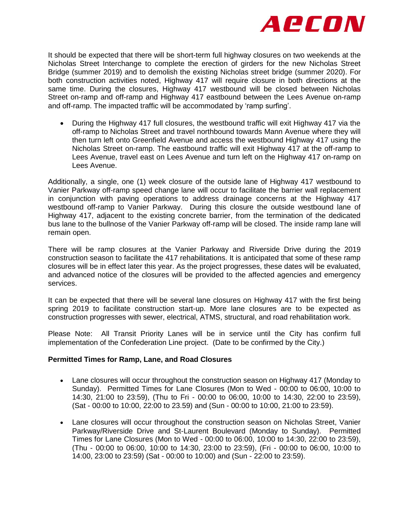

It should be expected that there will be short-term full highway closures on two weekends at the Nicholas Street Interchange to complete the erection of girders for the new Nicholas Street Bridge (summer 2019) and to demolish the existing Nicholas street bridge (summer 2020). For both construction activities noted, Highway 417 will require closure in both directions at the same time. During the closures, Highway 417 westbound will be closed between Nicholas Street on-ramp and off-ramp and Highway 417 eastbound between the Lees Avenue on-ramp and off-ramp. The impacted traffic will be accommodated by 'ramp surfing'.

• During the Highway 417 full closures, the westbound traffic will exit Highway 417 via the off-ramp to Nicholas Street and travel northbound towards Mann Avenue where they will then turn left onto Greenfield Avenue and access the westbound Highway 417 using the Nicholas Street on-ramp. The eastbound traffic will exit Highway 417 at the off-ramp to Lees Avenue, travel east on Lees Avenue and turn left on the Highway 417 on-ramp on Lees Avenue.

Additionally, a single, one (1) week closure of the outside lane of Highway 417 westbound to Vanier Parkway off-ramp speed change lane will occur to facilitate the barrier wall replacement in conjunction with paving operations to address drainage concerns at the Highway 417 westbound off-ramp to Vanier Parkway. During this closure the outside westbound lane of Highway 417, adjacent to the existing concrete barrier, from the termination of the dedicated bus lane to the bullnose of the Vanier Parkway off-ramp will be closed. The inside ramp lane will remain open.

There will be ramp closures at the Vanier Parkway and Riverside Drive during the 2019 construction season to facilitate the 417 rehabilitations. It is anticipated that some of these ramp closures will be in effect later this year. As the project progresses, these dates will be evaluated, and advanced notice of the closures will be provided to the affected agencies and emergency services.

It can be expected that there will be several lane closures on Highway 417 with the first being spring 2019 to facilitate construction start-up. More lane closures are to be expected as construction progresses with sewer, electrical, ATMS, structural, and road rehabilitation work.

Please Note: All Transit Priority Lanes will be in service until the City has confirm full implementation of the Confederation Line project. (Date to be confirmed by the City.)

#### **Permitted Times for Ramp, Lane, and Road Closures**

- Lane closures will occur throughout the construction season on Highway 417 (Monday to Sunday). Permitted Times for Lane Closures (Mon to Wed - 00:00 to 06:00, 10:00 to 14:30, 21:00 to 23:59), (Thu to Fri - 00:00 to 06:00, 10:00 to 14:30, 22:00 to 23:59), (Sat - 00:00 to 10:00, 22:00 to 23.59) and (Sun - 00:00 to 10:00, 21:00 to 23:59).
- Lane closures will occur throughout the construction season on Nicholas Street, Vanier Parkway/Riverside Drive and St-Laurent Boulevard (Monday to Sunday). Permitted Times for Lane Closures (Mon to Wed - 00:00 to 06:00, 10:00 to 14:30, 22:00 to 23:59), (Thu - 00:00 to 06:00, 10:00 to 14:30, 23:00 to 23:59), (Fri - 00:00 to 06:00, 10:00 to 14:00, 23:00 to 23:59) (Sat - 00:00 to 10:00) and (Sun - 22:00 to 23:59).